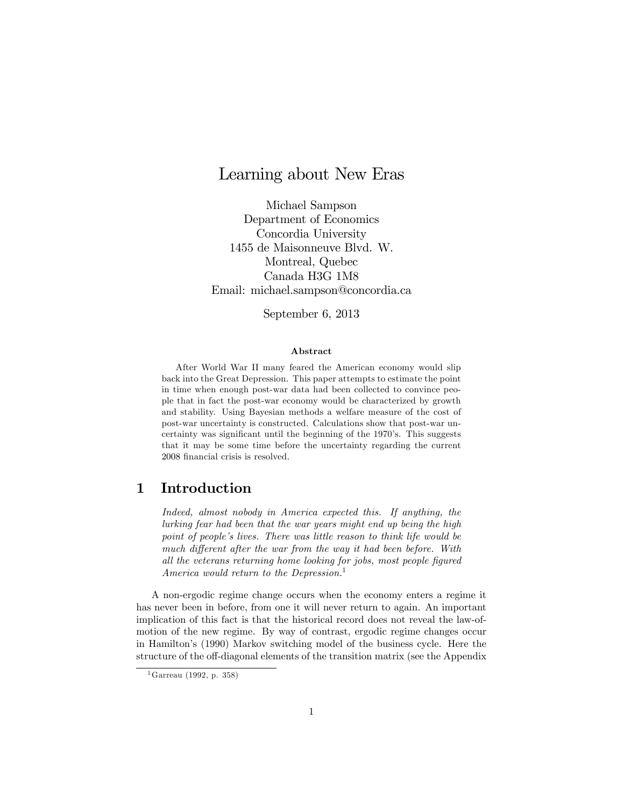# Learning about New Eras

Michael Sampson Department of Economics Concordia University 1455 de Maisonneuve Blvd. W. Montreal, Quebec Canada H3G 1M8 Email: michael.sampson@concordia.ca

September 6, 2013

#### Abstract

After World War II many feared the American economy would slip back into the Great Depression. This paper attempts to estimate the point in time when enough post-war data had been collected to convince people that in fact the post-war economy would be characterized by growth and stability. Using Bayesian methods a welfare measure of the cost of post-war uncertainty is constructed. Calculations show that post-war uncertainty was significant until the beginning of the 1970's. This suggests that it may be some time before the uncertainty regarding the current 2008 financial crisis is resolved.

## 1 Introduction

Indeed, almost nobody in America expected this. If anything, the lurking fear had been that the war years might end up being the high point of people's lives. There was little reason to think life would be much different after the war from the way it had been before. With all the veterans returning home looking for jobs, most people figured America would return to the Depression.<sup>1</sup>

A non-ergodic regime change occurs when the economy enters a regime it has never been in before, from one it will never return to again. An important implication of this fact is that the historical record does not reveal the law-ofmotion of the new regime. By way of contrast, ergodic regime changes occur in Hamiltonís (1990) Markov switching model of the business cycle. Here the structure of the off-diagonal elements of the transition matrix (see the Appendix

 $1$ Garreau (1992, p. 358)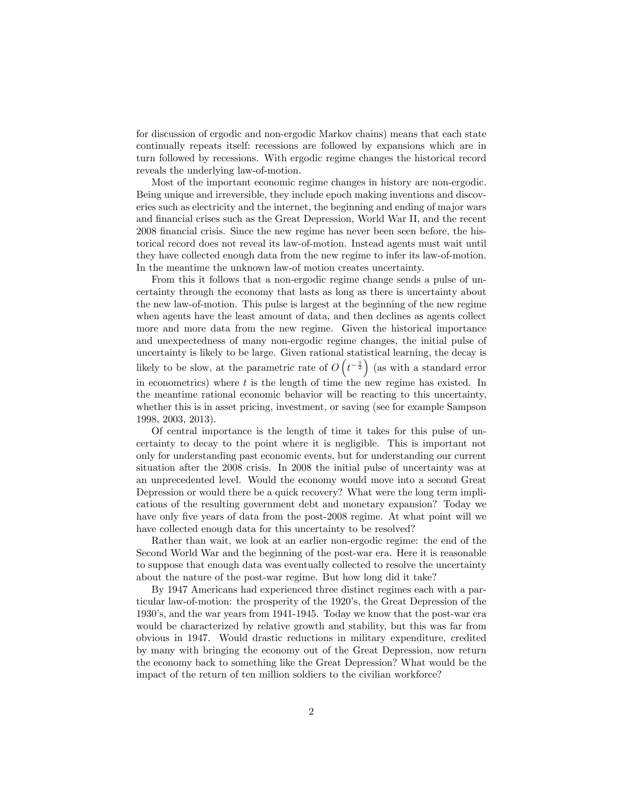for discussion of ergodic and non-ergodic Markov chains) means that each state continually repeats itself: recessions are followed by expansions which are in turn followed by recessions. With ergodic regime changes the historical record reveals the underlying law-of-motion.

Most of the important economic regime changes in history are non-ergodic. Being unique and irreversible, they include epoch making inventions and discoveries such as electricity and the internet, the beginning and ending of major wars and financial crises such as the Great Depression, World War II, and the recent 2008 Önancial crisis. Since the new regime has never been seen before, the historical record does not reveal its law-of-motion. Instead agents must wait until they have collected enough data from the new regime to infer its law-of-motion. In the meantime the unknown law-of motion creates uncertainty.

From this it follows that a non-ergodic regime change sends a pulse of uncertainty through the economy that lasts as long as there is uncertainty about the new law-of-motion. This pulse is largest at the beginning of the new regime when agents have the least amount of data, and then declines as agents collect more and more data from the new regime. Given the historical importance and unexpectedness of many non-ergodic regime changes, the initial pulse of uncertainty is likely to be large. Given rational statistical learning, the decay is likely to be slow, at the parametric rate of  $O(t^{-\frac{1}{2}})$  (as with a standard error in econometrics) where  $t$  is the length of time the new regime has existed. In the meantime rational economic behavior will be reacting to this uncertainty, whether this is in asset pricing, investment, or saving (see for example Sampson 1998, 2003, 2013).

Of central importance is the length of time it takes for this pulse of uncertainty to decay to the point where it is negligible. This is important not only for understanding past economic events, but for understanding our current situation after the 2008 crisis. In 2008 the initial pulse of uncertainty was at an unprecedented level. Would the economy would move into a second Great Depression or would there be a quick recovery? What were the long term implications of the resulting government debt and monetary expansion? Today we have only five years of data from the post-2008 regime. At what point will we have collected enough data for this uncertainty to be resolved?

Rather than wait, we look at an earlier non-ergodic regime: the end of the Second World War and the beginning of the post-war era. Here it is reasonable to suppose that enough data was eventually collected to resolve the uncertainty about the nature of the post-war regime. But how long did it take?

By 1947 Americans had experienced three distinct regimes each with a particular law-of-motion: the prosperity of the 1920's, the Great Depression of the 1930ís, and the war years from 1941-1945. Today we know that the post-war era would be characterized by relative growth and stability, but this was far from obvious in 1947. Would drastic reductions in military expenditure, credited by many with bringing the economy out of the Great Depression, now return the economy back to something like the Great Depression? What would be the impact of the return of ten million soldiers to the civilian workforce?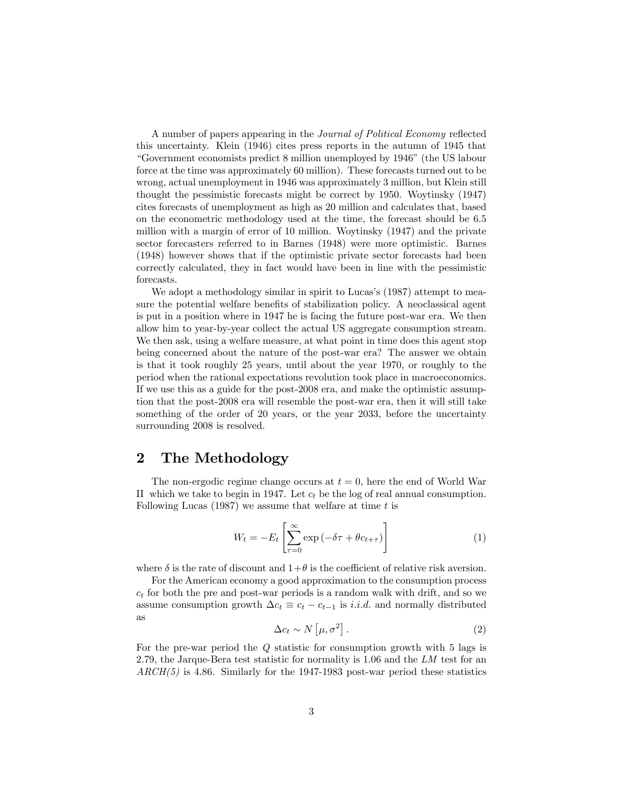A number of papers appearing in the *Journal of Political Economy* reflected this uncertainty. Klein (1946) cites press reports in the autumn of 1945 that ìGovernment economists predict 8 million unemployed by 1946î(the US labour force at the time was approximately 60 million). These forecasts turned out to be wrong, actual unemployment in 1946 was approximately 3 million, but Klein still thought the pessimistic forecasts might be correct by 1950. Woytinsky (1947) cites forecasts of unemployment as high as 20 million and calculates that, based on the econometric methodology used at the time, the forecast should be 6.5 million with a margin of error of 10 million. Woytinsky (1947) and the private sector forecasters referred to in Barnes (1948) were more optimistic. Barnes (1948) however shows that if the optimistic private sector forecasts had been correctly calculated, they in fact would have been in line with the pessimistic forecasts.

We adopt a methodology similar in spirit to Lucas's (1987) attempt to measure the potential welfare benefits of stabilization policy. A neoclassical agent is put in a position where in 1947 he is facing the future post-war era. We then allow him to year-by-year collect the actual US aggregate consumption stream. We then ask, using a welfare measure, at what point in time does this agent stop being concerned about the nature of the post-war era? The answer we obtain is that it took roughly 25 years, until about the year 1970, or roughly to the period when the rational expectations revolution took place in macroeconomics. If we use this as a guide for the post-2008 era, and make the optimistic assumption that the post-2008 era will resemble the post-war era, then it will still take something of the order of 20 years, or the year 2033, before the uncertainty surrounding 2008 is resolved.

## 2 The Methodology

The non-ergodic regime change occurs at  $t = 0$ , here the end of World War II which we take to begin in 1947. Let  $c_t$  be the log of real annual consumption. Following Lucas (1987) we assume that welfare at time  $t$  is

$$
W_t = -E_t \left[ \sum_{\tau=0}^{\infty} \exp\left(-\delta \tau + \theta c_{t+\tau}\right) \right]
$$
 (1)

where  $\delta$  is the rate of discount and  $1+\theta$  is the coefficient of relative risk aversion.

For the American economy a good approximation to the consumption process  $c_t$  for both the pre and post-war periods is a random walk with drift, and so we assume consumption growth  $\Delta c_t \equiv c_t - c_{t-1}$  is *i.i.d.* and normally distributed as

$$
\Delta c_t \sim N\left[\mu, \sigma^2\right].\tag{2}
$$

For the pre-war period the Q statistic for consumption growth with 5 lags is 2:79, the Jarque-Bera test statistic for normality is 1:06 and the LM test for an  $\text{ARCH}(5)$  is 4.86. Similarly for the 1947-1983 post-war period these statistics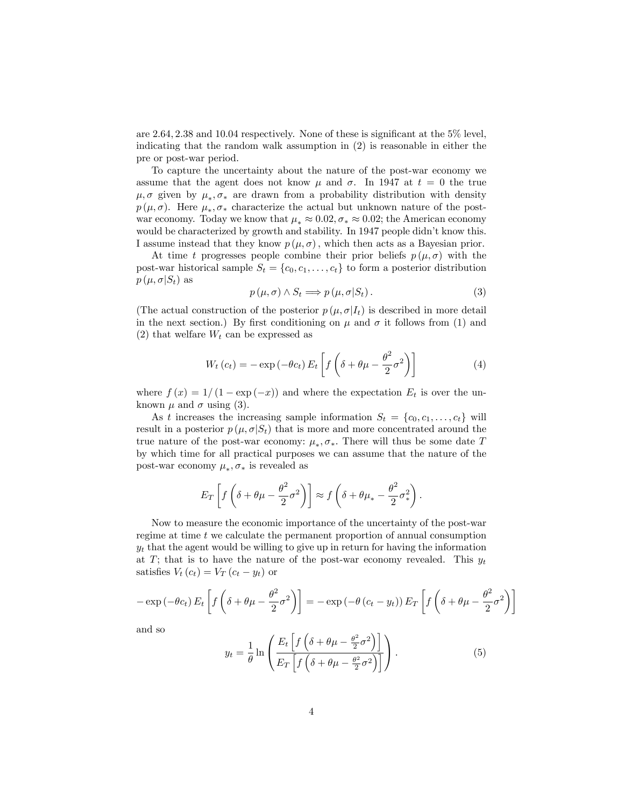are  $2.64$ ,  $2.38$  and  $10.04$  respectively. None of these is significant at the  $5\%$  level, indicating that the random walk assumption in (2) is reasonable in either the pre or post-war period.

To capture the uncertainty about the nature of the post-war economy we assume that the agent does not know  $\mu$  and  $\sigma$ . In 1947 at  $t = 0$  the true  $\mu, \sigma$  given by  $\mu_*, \sigma_*$  are drawn from a probability distribution with density  $p(\mu, \sigma)$ . Here  $\mu_*, \sigma_*$  characterize the actual but unknown nature of the postwar economy. Today we know that  $\mu_* \approx 0.02$ ,  $\sigma_* \approx 0.02$ ; the American economy would be characterized by growth and stability. In 1947 people didn't know this. I assume instead that they know  $p(\mu, \sigma)$ , which then acts as a Bayesian prior.

At time t progresses people combine their prior beliefs  $p(\mu, \sigma)$  with the post-war historical sample  $S_t = \{c_0, c_1, \ldots, c_t\}$  to form a posterior distribution  $p(\mu, \sigma | S_t)$  as

$$
p(\mu, \sigma) \wedge S_t \Longrightarrow p(\mu, \sigma | S_t). \tag{3}
$$

(The actual construction of the posterior  $p(\mu, \sigma | I_t)$  is described in more detail in the next section.) By first conditioning on  $\mu$  and  $\sigma$  it follows from (1) and (2) that welfare  $W_t$  can be expressed as

$$
W_t(c_t) = -\exp(-\theta c_t) E_t \left[ f \left( \delta + \theta \mu - \frac{\theta^2}{2} \sigma^2 \right) \right]
$$
 (4)

where  $f(x) = 1/(1 - \exp(-x))$  and where the expectation  $E_t$  is over the unknown  $\mu$  and  $\sigma$  using (3).

As t increases the increasing sample information  $S_t = \{c_0, c_1, \ldots, c_t\}$  will result in a posterior  $p(\mu, \sigma | S_t)$  that is more and more concentrated around the true nature of the post-war economy:  $\mu_*, \sigma_*$ . There will thus be some date T by which time for all practical purposes we can assume that the nature of the post-war economy  $\mu_*, \sigma_*$  is revealed as

$$
E_T\left[f\left(\delta + \theta\mu - \frac{\theta^2}{2}\sigma^2\right)\right] \approx f\left(\delta + \theta\mu_* - \frac{\theta^2}{2}\sigma_*^2\right).
$$

Now to measure the economic importance of the uncertainty of the post-war regime at time  $t$  we calculate the permanent proportion of annual consumption  $y_t$  that the agent would be willing to give up in return for having the information at T; that is to have the nature of the post-war economy revealed. This  $y_t$ satisfies  $V_t(c_t) = V_T(c_t - y_t)$  or

$$
-\exp\left(-\theta c_t\right)E_t\left[f\left(\delta + \theta\mu - \frac{\theta^2}{2}\sigma^2\right)\right] = -\exp\left(-\theta\left(c_t - y_t\right)\right)E_T\left[f\left(\delta + \theta\mu - \frac{\theta^2}{2}\sigma^2\right)\right]
$$

and so

$$
y_t = \frac{1}{\theta} \ln \left( \frac{E_t \left[ f \left( \delta + \theta \mu - \frac{\theta^2}{2} \sigma^2 \right) \right]}{E_T \left[ f \left( \delta + \theta \mu - \frac{\theta^2}{2} \sigma^2 \right) \right]} \right). \tag{5}
$$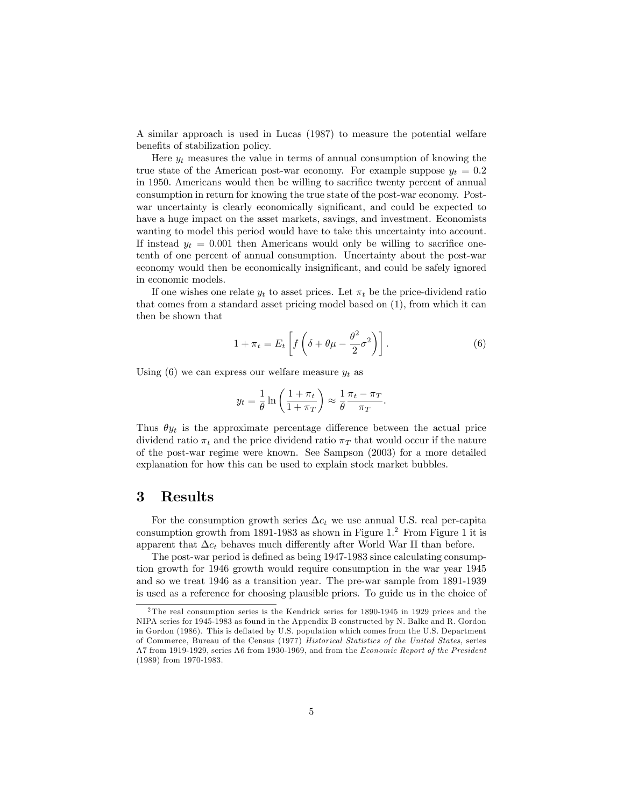A similar approach is used in Lucas (1987) to measure the potential welfare benefits of stabilization policy.

Here  $y_t$  measures the value in terms of annual consumption of knowing the true state of the American post-war economy. For example suppose  $y_t = 0.2$ in 1950. Americans would then be willing to sacrifice twenty percent of annual consumption in return for knowing the true state of the post-war economy. Postwar uncertainty is clearly economically significant, and could be expected to have a huge impact on the asset markets, savings, and investment. Economists wanting to model this period would have to take this uncertainty into account. If instead  $y_t = 0.001$  then Americans would only be willing to sacrifice onetenth of one percent of annual consumption. Uncertainty about the post-war economy would then be economically insignificant, and could be safely ignored in economic models.

If one wishes one relate  $y_t$  to asset prices. Let  $\pi_t$  be the price-dividend ratio that comes from a standard asset pricing model based on (1), from which it can then be shown that

$$
1 + \pi_t = E_t \left[ f \left( \delta + \theta \mu - \frac{\theta^2}{2} \sigma^2 \right) \right]. \tag{6}
$$

:

Using (6) we can express our welfare measure  $y_t$  as

$$
y_t = \frac{1}{\theta} \ln \left( \frac{1 + \pi_t}{1 + \pi_T} \right) \approx \frac{1}{\theta} \frac{\pi_t - \pi_T}{\pi_T}
$$

Thus  $\theta y_t$  is the approximate percentage difference between the actual price dividend ratio  $\pi_t$  and the price dividend ratio  $\pi_T$  that would occur if the nature of the post-war regime were known. See Sampson (2003) for a more detailed explanation for how this can be used to explain stock market bubbles.

### 3 Results

For the consumption growth series  $\Delta c_t$  we use annual U.S. real per-capita consumption growth from 1891-1983 as shown in Figure 1.<sup>2</sup> From Figure 1 it is apparent that  $\Delta c_t$  behaves much differently after World War II than before.

The post-war period is defined as being 1947-1983 since calculating consumption growth for 1946 growth would require consumption in the war year 1945 and so we treat 1946 as a transition year. The pre-war sample from 1891-1939 is used as a reference for choosing plausible priors. To guide us in the choice of

<sup>2</sup> The real consumption series is the Kendrick series for 1890-1945 in 1929 prices and the NIPA series for 1945-1983 as found in the Appendix B constructed by N. Balke and R. Gordon in Gordon (1986). This is deáated by U.S. population which comes from the U.S. Department of Commerce, Bureau of the Census (1977) Historical Statistics of the United States, series A7 from 1919-1929, series A6 from 1930-1969, and from the Economic Report of the President (1989) from 1970-1983.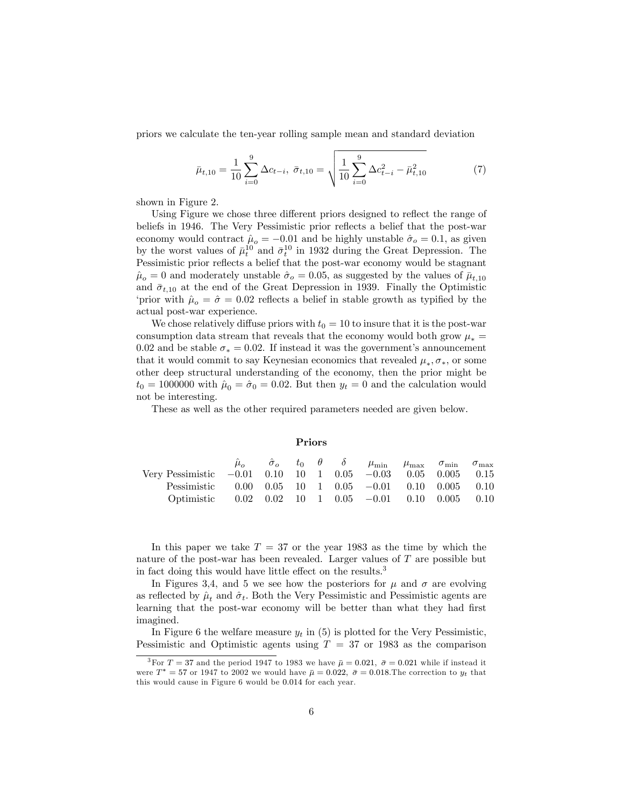priors we calculate the ten-year rolling sample mean and standard deviation

$$
\bar{\mu}_{t,10} = \frac{1}{10} \sum_{i=0}^{9} \Delta c_{t-i}, \ \bar{\sigma}_{t,10} = \sqrt{\frac{1}{10} \sum_{i=0}^{9} \Delta c_{t-i}^2 - \bar{\mu}_{t,10}^2}
$$
(7)

shown in Figure 2.

Using Figure we chose three different priors designed to reflect the range of beliefs in 1946. The Very Pessimistic prior reflects a belief that the post-war economy would contract  $\hat{\mu}_o = -0.01$  and be highly unstable  $\hat{\sigma}_o = 0.1$ , as given by the worst values of  $\bar{\mu}^{10}_t$  and  $\bar{\sigma}^{10}_t$  in 1932 during the Great Depression. The Pessimistic prior reflects a belief that the post-war economy would be stagnant  $\hat{\mu}_o = 0$  and moderately unstable  $\hat{\sigma}_o = 0.05$ , as suggested by the values of  $\bar{\mu}_{t,10}$ and  $\bar{\sigma}_{t,10}$  at the end of the Great Depression in 1939. Finally the Optimistic 'prior with  $\hat{\mu}_{o} = \hat{\sigma} = 0.02$  reflects a belief in stable growth as typified by the actual post-war experience.

We chose relatively diffuse priors with  $t_0 = 10$  to insure that it is the post-war consumption data stream that reveals that the economy would both grow  $\mu_* =$ 0.02 and be stable  $\sigma_* = 0.02$ . If instead it was the government's announcement that it would commit to say Keynesian economics that revealed  $\mu_*, \sigma_*,$  or some other deep structural understanding of the economy, then the prior might be  $t_0 = 1000000$  with  $\hat{\mu}_0 = \hat{\sigma}_0 = 0.02$ . But then  $y_t = 0$  and the calculation would not be interesting.

These as well as the other required parameters needed are given below.

Priors

| Pessimistic $0.00 \t 0.05 \t 10 \t 1 \t 0.05 \t -0.01 \t 0.10 \t 0.005 \t 0.10$<br>Optimistic $0.02 \t 0.02 \t 10 \t 1 \t 0.05 \t -0.01 \t 0.10 \t 0.005 \t 0.10$ | Very Pessimistic $-0.01$ 0.10 10 1 0.05 $-0.03$ 0.05 0.005 0.15 |  |  | $\hat{\mu}_{o}$ $\hat{\sigma}_{o}$ $t_{0}$ $\theta$ $\delta$ $\mu_{\min}$ $\mu_{\max}$ $\sigma_{\min}$ $\sigma_{\max}$ |  |  |
|-------------------------------------------------------------------------------------------------------------------------------------------------------------------|-----------------------------------------------------------------|--|--|------------------------------------------------------------------------------------------------------------------------|--|--|
|                                                                                                                                                                   |                                                                 |  |  |                                                                                                                        |  |  |

In this paper we take  $T = 37$  or the year 1983 as the time by which the nature of the post-war has been revealed. Larger values of  $T$  are possible but in fact doing this would have little effect on the results. $3$ 

In Figures 3,4, and 5 we see how the posteriors for  $\mu$  and  $\sigma$  are evolving as reflected by  $\hat{\mu}_t$  and  $\hat{\sigma}_t$ . Both the Very Pessimistic and Pessimistic agents are learning that the post-war economy will be better than what they had first imagined.

In Figure 6 the welfare measure  $y_t$  in (5) is plotted for the Very Pessimistic, Pessimistic and Optimistic agents using  $T = 37$  or 1983 as the comparison

<sup>&</sup>lt;sup>3</sup>For  $T = 37$  and the period 1947 to 1983 we have  $\bar{\mu} = 0.021$ ,  $\bar{\sigma} = 0.021$  while if instead it were  $T^* = 57$  or 1947 to 2002 we would have  $\bar{\mu} = 0.022$ ,  $\bar{\sigma} = 0.018$ . The correction to  $y_t$  that this would cause in Figure 6 would be 0.014 for each year.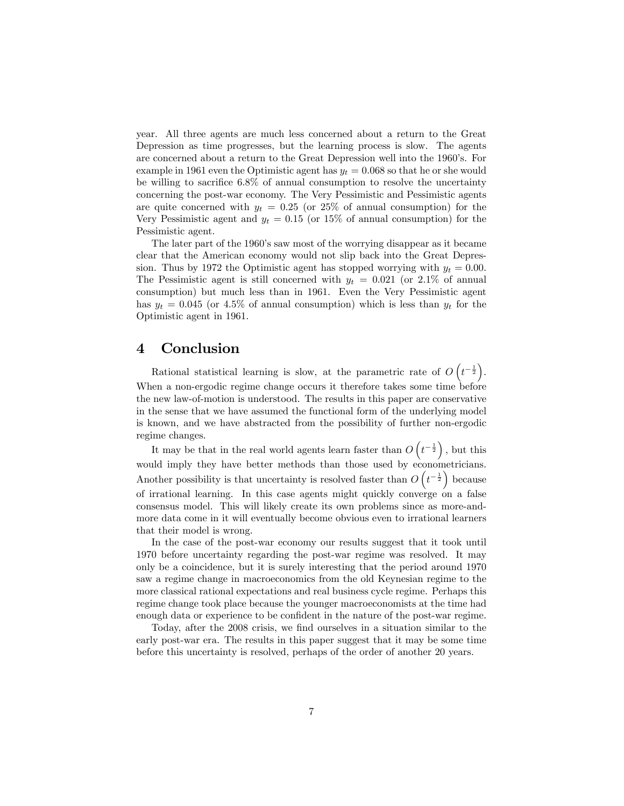year. All three agents are much less concerned about a return to the Great Depression as time progresses, but the learning process is slow. The agents are concerned about a return to the Great Depression well into the 1960's. For example in 1961 even the Optimistic agent has  $y_t = 0.068$  so that he or she would be willing to sacrifice  $6.8\%$  of annual consumption to resolve the uncertainty concerning the post-war economy. The Very Pessimistic and Pessimistic agents are quite concerned with  $y_t = 0.25$  (or 25% of annual consumption) for the Very Pessimistic agent and  $y_t = 0.15$  (or 15% of annual consumption) for the Pessimistic agent.

The later part of the 1960's saw most of the worrying disappear as it became clear that the American economy would not slip back into the Great Depression. Thus by 1972 the Optimistic agent has stopped worrying with  $y_t = 0.00$ . The Pessimistic agent is still concerned with  $y_t = 0.021$  (or 2.1% of annual consumption) but much less than in 1961. Even the Very Pessimistic agent has  $y_t = 0.045$  (or 4.5% of annual consumption) which is less than  $y_t$  for the Optimistic agent in 1961.

## 4 Conclusion

Rational statistical learning is slow, at the parametric rate of  $O(t^{-\frac{1}{2}})$ . When a non-ergodic regime change occurs it therefore takes some time before the new law-of-motion is understood. The results in this paper are conservative in the sense that we have assumed the functional form of the underlying model is known, and we have abstracted from the possibility of further non-ergodic regime changes.

It may be that in the real world agents learn faster than  $O(t^{-\frac{1}{2}})$ , but this would imply they have better methods than those used by econometricians. Another possibility is that uncertainty is resolved faster than  $O(t^{-\frac{1}{2}})$  because of irrational learning. In this case agents might quickly converge on a false consensus model. This will likely create its own problems since as more-andmore data come in it will eventually become obvious even to irrational learners that their model is wrong.

In the case of the post-war economy our results suggest that it took until 1970 before uncertainty regarding the post-war regime was resolved. It may only be a coincidence, but it is surely interesting that the period around 1970 saw a regime change in macroeconomics from the old Keynesian regime to the more classical rational expectations and real business cycle regime. Perhaps this regime change took place because the younger macroeconomists at the time had enough data or experience to be confident in the nature of the post-war regime.

Today, after the 2008 crisis, we find ourselves in a situation similar to the early post-war era. The results in this paper suggest that it may be some time before this uncertainty is resolved, perhaps of the order of another 20 years.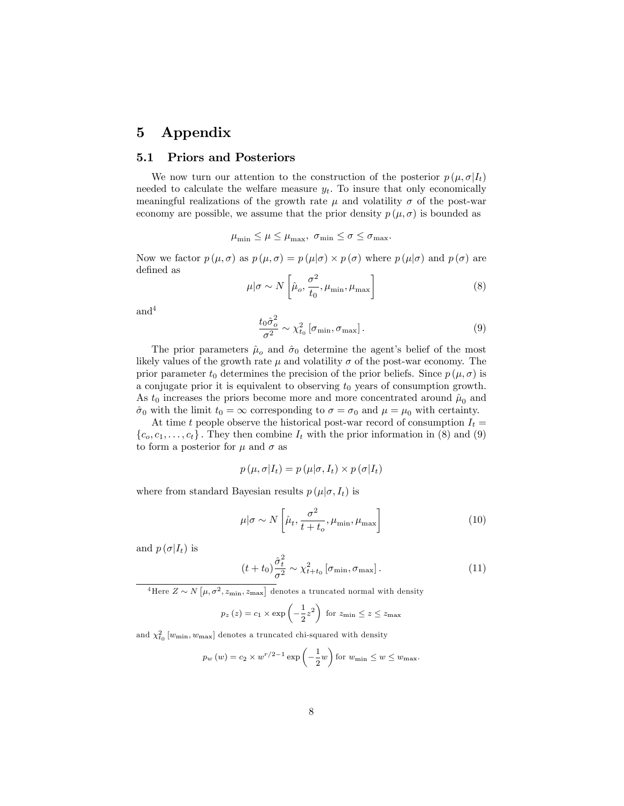## 5 Appendix

### 5.1 Priors and Posteriors

We now turn our attention to the construction of the posterior  $p(\mu, \sigma | I_t)$ needed to calculate the welfare measure  $y_t$ . To insure that only economically meaningful realizations of the growth rate  $\mu$  and volatility  $\sigma$  of the post-war economy are possible, we assume that the prior density  $p(\mu, \sigma)$  is bounded as

$$
\mu_{\min} \le \mu \le \mu_{\max}, \ \sigma_{\min} \le \sigma \le \sigma_{\max}.
$$

Now we factor  $p(\mu, \sigma)$  as  $p(\mu, \sigma) = p(\mu|\sigma) \times p(\sigma)$  where  $p(\mu|\sigma)$  and  $p(\sigma)$  are defined as

$$
\mu|\sigma \sim N\left[\hat{\mu}_o, \frac{\sigma^2}{t_0}, \mu_{\min}, \mu_{\max}\right]
$$
\n(8)

and<sup>4</sup>

$$
\frac{t_0 \hat{\sigma}_o^2}{\sigma^2} \sim \chi_{t_0}^2 \left[ \sigma_{\min}, \sigma_{\max} \right]. \tag{9}
$$

The prior parameters  $\hat{\mu}_{o}$  and  $\hat{\sigma}_{0}$  determine the agent's belief of the most likely values of the growth rate  $\mu$  and volatility  $\sigma$  of the post-war economy. The prior parameter  $t_0$  determines the precision of the prior beliefs. Since  $p(\mu, \sigma)$  is a conjugate prior it is equivalent to observing  $t_0$  years of consumption growth. As  $t_0$  increases the priors become more and more concentrated around  $\hat{\mu}_0$  and  $\hat{\sigma}_0$  with the limit  $t_0 = \infty$  corresponding to  $\sigma = \sigma_0$  and  $\mu = \mu_0$  with certainty.

At time t people observe the historical post-war record of consumption  $I_t =$  ${c_0, c_1, \ldots, c_t}$ . They then combine  $I_t$  with the prior information in (8) and (9) to form a posterior for  $\mu$  and  $\sigma$  as

$$
p(\mu, \sigma | I_t) = p(\mu | \sigma, I_t) \times p(\sigma | I_t)
$$

where from standard Bayesian results  $p(\mu|\sigma, I_t)$  is

$$
\mu|\sigma \sim N\left[\hat{\mu}_t, \frac{\sigma^2}{t+t_o}, \mu_{\min}, \mu_{\max}\right]
$$
\n(10)

and  $p(\sigma|I_t)$  is

$$
(t+t_0)\frac{\hat{\sigma}_t^2}{\sigma^2} \sim \chi_{t+t_0}^2 \left[\sigma_{\min}, \sigma_{\max}\right]. \tag{11}
$$

<sup>4</sup>Here  $Z \sim N\left[\mu, \sigma^2, z_{\text{min}}, z_{\text{max}}\right]$  denotes a truncated normal with density

$$
p_z(z) = c_1 \times \exp\left(-\frac{1}{2}z^2\right)
$$
 for  $z_{\min} \le z \le z_{\max}$ 

and  $\chi^2_{t_0}\left[w_{\text{min}}, w_{\text{max}}\right]$  denotes a truncated chi-squared with density

$$
p_w(w) = c_2 \times w^{r/2-1} \exp\left(-\frac{1}{2}w\right)
$$
 for  $w_{\min} \leq w \leq w_{\max}$ .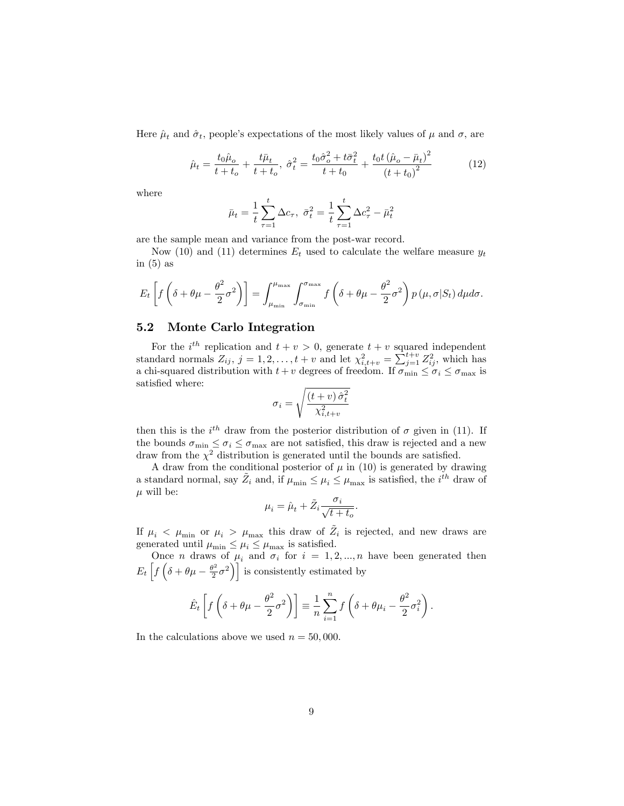Here  $\hat{\mu}_t$  and  $\hat{\sigma}_t$ , people's expectations of the most likely values of  $\mu$  and  $\sigma$ , are

$$
\hat{\mu}_t = \frac{t_0 \hat{\mu}_o}{t + t_o} + \frac{t \bar{\mu}_t}{t + t_o}, \ \hat{\sigma}_t^2 = \frac{t_0 \hat{\sigma}_o^2 + t \bar{\sigma}_t^2}{t + t_0} + \frac{t_0 t \left(\hat{\mu}_o - \bar{\mu}_t\right)^2}{\left(t + t_0\right)^2} \tag{12}
$$

where

$$
\bar{\mu}_t = \frac{1}{t} \sum_{\tau=1}^t \Delta c_{\tau}, \ \bar{\sigma}_t^2 = \frac{1}{t} \sum_{\tau=1}^t \Delta c_{\tau}^2 - \bar{\mu}_t^2
$$

are the sample mean and variance from the post-war record.

Now (10) and (11) determines  $E_t$  used to calculate the welfare measure  $y_t$ in  $(5)$  as

$$
E_t\left[f\left(\delta + \theta\mu - \frac{\theta^2}{2}\sigma^2\right)\right] = \int_{\mu_{\min}}^{\mu_{\max}} \int_{\sigma_{\min}}^{\sigma_{\max}} f\left(\delta + \theta\mu - \frac{\theta^2}{2}\sigma^2\right) p\left(\mu, \sigma | S_t\right) d\mu d\sigma.
$$

#### 5.2 Monte Carlo Integration

For the  $i^{th}$  replication and  $t + v > 0$ , generate  $t + v$  squared independent standard normals  $Z_{ij}$ ,  $j = 1, 2, \ldots, t + v$  and let  $\chi^2_{i,t+v} = \sum_{j=1}^{t+v} Z_{ij}^2$ , which has a chi-squared distribution with  $t + v$  degrees of freedom. If  $\sigma_{\min} \le \sigma_i \le \sigma_{\max}$  is satisfied where:

$$
\sigma_i = \sqrt{\frac{(t+v)\,\hat{\sigma}_t^2}{\chi_{i,t+v}^2}}
$$

then this is the  $i^{th}$  draw from the posterior distribution of  $\sigma$  given in (11). If the bounds  $\sigma_{\min} \leq \sigma_i \leq \sigma_{\max}$  are not satisfied, this draw is rejected and a new draw from the  $\chi^2$  distribution is generated until the bounds are satisfied.

A draw from the conditional posterior of  $\mu$  in (10) is generated by drawing a standard normal, say  $\tilde{Z}_i$  and, if  $\mu_{\min} \leq \mu_i \leq \mu_{\max}$  is satisfied, the  $i^{th}$  draw of  $\mu$  will be:

$$
\mu_i = \hat{\mu}_t + \tilde{Z}_i \frac{\sigma_i}{\sqrt{t + t_o}}.
$$

If  $\mu_i < \mu_{\min}$  or  $\mu_i > \mu_{\max}$  this draw of  $\tilde{Z}_i$  is rejected, and new draws are generated until  $\mu_{\min} \leq \mu_i \leq \mu_{\max}$  is satisfied.

Once *n* draws of  $\mu_i$  and  $\sigma_i$  for  $i = 1, 2, ..., n$  have been generated then  $E_t\left[f\left(\delta+\theta\mu-\frac{\theta^2}{2}\right)\right]$  $\left[\frac{1}{2}\sigma^2\right]$  is consistently estimated by

$$
\hat{E}_t \left[ f \left( \delta + \theta \mu - \frac{\theta^2}{2} \sigma^2 \right) \right] \equiv \frac{1}{n} \sum_{i=1}^n f \left( \delta + \theta \mu_i - \frac{\theta^2}{2} \sigma_i^2 \right).
$$

In the calculations above we used  $n = 50,000$ .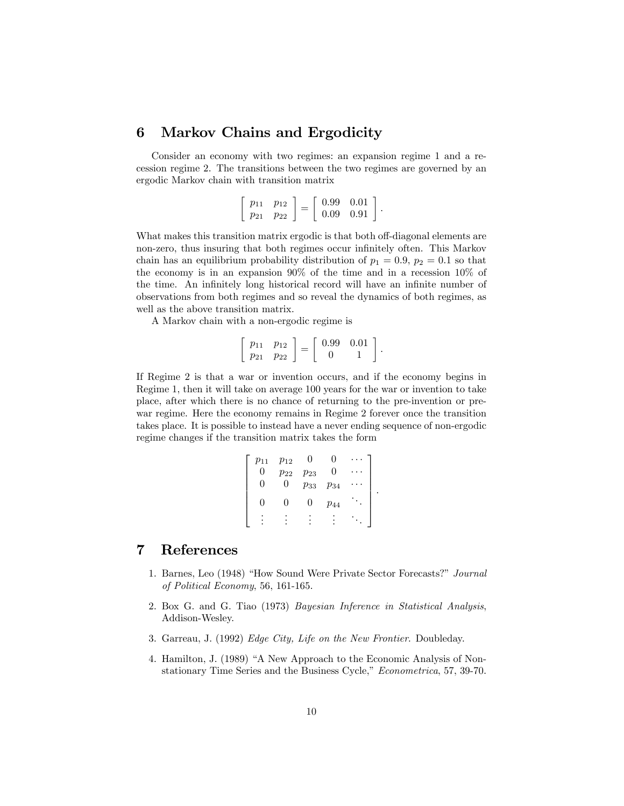#### Markov Chains and Ergodicity 6

Consider an economy with two regimes: an expansion regime 1 and a recession regime 2. The transitions between the two regimes are governed by an ergodic Markov chain with transition matrix

$$
\left[\begin{array}{cc} p_{11} & p_{12} \\ p_{21} & p_{22} \end{array}\right] = \left[\begin{array}{cc} 0.99 & 0.01 \\ 0.09 & 0.91 \end{array}\right].
$$

What makes this transition matrix ergodic is that both off-diagonal elements are non-zero, thus insuring that both regimes occur infinitely often. This Markov chain has an equilibrium probability distribution of  $p_1 = 0.9$ ,  $p_2 = 0.1$  so that the economy is in an expansion  $90\%$  of the time and in a recession  $10\%$  of the time. An infinitely long historical record will have an infinite number of observations from both regimes and so reveal the dynamics of both regimes, as well as the above transition matrix.

A Markov chain with a non-ergodic regime is

$$
\left[\begin{array}{cc} p_{11} & p_{12} \\ p_{21} & p_{22} \end{array}\right] = \left[\begin{array}{cc} 0.99 & 0.01 \\ 0 & 1 \end{array}\right]
$$

If Regime 2 is that a war or invention occurs, and if the economy begins in Regime 1, then it will take on average 100 years for the war or invention to take place, after which there is no chance of returning to the pre-invention or prewar regime. Here the economy remains in Regime 2 forever once the transition takes place. It is possible to instead have a never ending sequence of non-ergodic regime changes if the transition matrix takes the form

```
\left[\begin{array}{ccccc} p_{11} & p_{12} & 0 & 0 & \cdots \ 0 & p_{22} & p_{23} & 0 & \cdots \ 0 & 0 & p_{33} & p_{34} & \cdots \ 0 & 0 & 0 & p_{44} & \ddots \end{array}\right].
```
#### $\overline{7}$ References

- 1. Barnes, Leo (1948) "How Sound Were Private Sector Forecasts?" Journal of Political Economy, 56, 161-165.
- 2. Box G. and G. Tiao (1973) Bayesian Inference in Statistical Analysis, Addison-Wesley.
- 3. Garreau, J. (1992) Edge City, Life on the New Frontier. Doubleday.
- 4. Hamilton, J. (1989) "A New Approach to the Economic Analysis of Nonstationary Time Series and the Business Cycle," Econometrica, 57, 39-70.